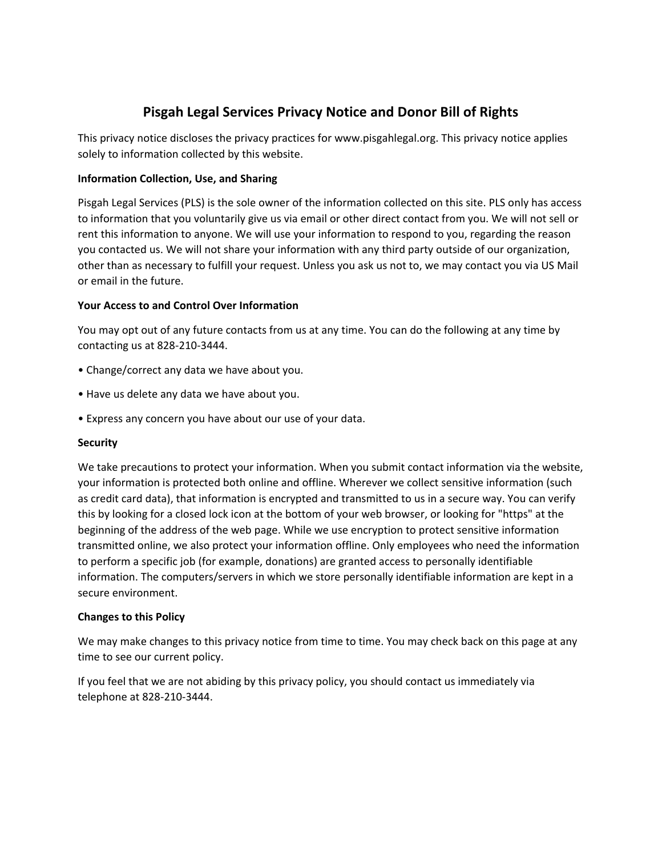# **Pisgah Legal Services Privacy Notice and Donor Bill of Rights**

This privacy notice discloses the privacy practices for www.pisgahlegal.org. This privacy notice applies solely to information collected by this website.

### **Information Collection, Use, and Sharing**

Pisgah Legal Services (PLS) is the sole owner of the information collected on this site. PLS only has access to information that you voluntarily give us via email or other direct contact from you. We will not sell or rent this information to anyone. We will use your information to respond to you, regarding the reason you contacted us. We will not share your information with any third party outside of our organization, other than as necessary to fulfill your request. Unless you ask us not to, we may contact you via US Mail or email in the future.

#### **Your Access to and Control Over Information**

You may opt out of any future contacts from us at any time. You can do the following at any time by contacting us at 828-210-3444.

- Change/correct any data we have about you.
- Have us delete any data we have about you.
- Express any concern you have about our use of your data.

#### **Security**

We take precautions to protect your information. When you submit contact information via the website, your information is protected both online and offline. Wherever we collect sensitive information (such as credit card data), that information is encrypted and transmitted to us in a secure way. You can verify this by looking for a closed lock icon at the bottom of your web browser, or looking for "https" at the beginning of the address of the web page. While we use encryption to protect sensitive information transmitted online, we also protect your information offline. Only employees who need the information to perform a specific job (for example, donations) are granted access to personally identifiable information. The computers/servers in which we store personally identifiable information are kept in a secure environment.

#### **Changes to this Policy**

We may make changes to this privacy notice from time to time. You may check back on this page at any time to see our current policy.

If you feel that we are not abiding by this privacy policy, you should contact us immediately via telephone at 828-210-3444.